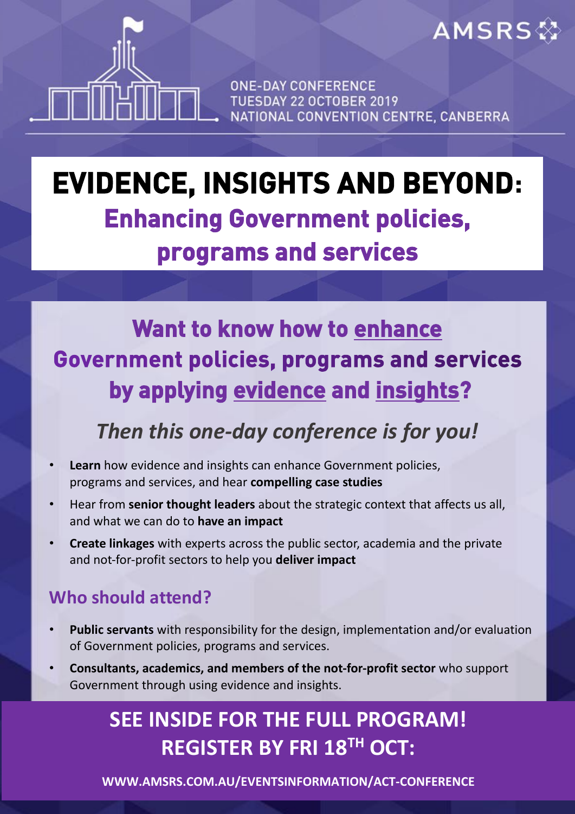**ONE-DAY CONFERENCE** TUESDAY 22 OCTOBER 2019 NATIONAL CONVENTION CENTRE, CANBERRA

**AMSRS** 

# **EVIDENCE, INSIGHTS AND BEYOND: Enhancing Government policies, programs and services**

**Want to know how to enhance Government policies, programs and services by applying evidence and insights?** 

### *Then this one-day conference is for you!*

- **Learn** how evidence and insights can enhance Government policies, programs and services, and hear **compelling case studies**
- Hear from **senior thought leaders** about the strategic context that affects us all, and what we can do to **have an impact**
- **Create linkages** with experts across the public sector, academia and the private and not-for-profit sectors to help you **deliver impact**

#### **Who should attend?**

- **Public servants** with responsibility for the design, implementation and/or evaluation of Government policies, programs and services.
- **Consultants, academics, and members of the not-for-profit sector** who support Government through using evidence and insights.

### **SEE INSIDE FOR THE FULL PROGRAM! REGISTER BY FRI 18 TH OCT:**

**WWW.AMSRS.COM.AU/EVENTSINFORMATION/ACT-CONFERENCE**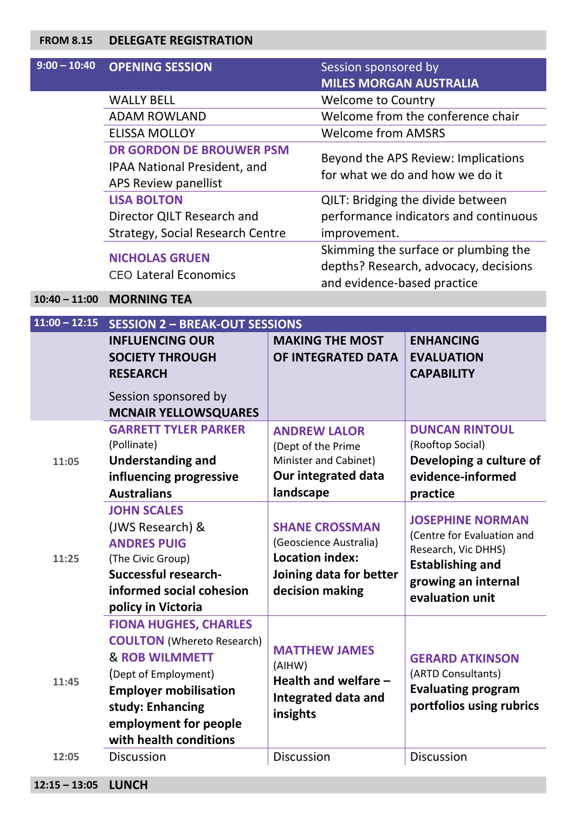#### **FROM 8.15 DELEGATE REGISTRATION**

| $9:00 - 10:40$  | <b>OPENING SESSION</b>                  | Session sponsored by                 |                                                                            |  |  |
|-----------------|-----------------------------------------|--------------------------------------|----------------------------------------------------------------------------|--|--|
|                 |                                         | <b>MILES MORGAN AUSTRALIA</b>        |                                                                            |  |  |
|                 | <b>WALLY BELL</b>                       | <b>Welcome to Country</b>            |                                                                            |  |  |
|                 | <b>ADAM ROWLAND</b>                     |                                      | Welcome from the conference chair                                          |  |  |
|                 | <b>ELISSA MOLLOY</b>                    | <b>Welcome from AMSRS</b>            |                                                                            |  |  |
|                 | <b>DR GORDON DE BROUWER PSM</b>         |                                      | Beyond the APS Review: Implications                                        |  |  |
|                 | <b>IPAA National President, and</b>     |                                      | for what we do and how we do it                                            |  |  |
|                 | APS Review panellist                    |                                      |                                                                            |  |  |
|                 | <b>LISA BOLTON</b>                      |                                      | QILT: Bridging the divide between<br>performance indicators and continuous |  |  |
|                 | Director QILT Research and              |                                      |                                                                            |  |  |
|                 | <b>Strategy, Social Research Centre</b> |                                      | improvement.                                                               |  |  |
|                 | <b>NICHOLAS GRUEN</b>                   | Skimming the surface or plumbing the |                                                                            |  |  |
|                 | <b>CEO Lateral Economics</b>            |                                      | depths? Research, advocacy, decisions                                      |  |  |
|                 |                                         | and evidence-based practice          |                                                                            |  |  |
| $10:40 - 11:00$ | <b>MORNING TEA</b>                      |                                      |                                                                            |  |  |
| $11:00 - 12:15$ | <b>SESSION 2 - BREAK-OUT SESSIONS</b>   |                                      |                                                                            |  |  |
|                 | <b>INFLUENCING OUR</b>                  | <b>MAKING THE MOST</b>               | <b>ENHANCING</b>                                                           |  |  |
|                 | <b>SOCIETY THROUGH</b>                  | OF INTEGRATED DATA                   | <b>EVALUATION</b>                                                          |  |  |
|                 | <b>RESEARCH</b>                         |                                      | <b>CAPABILITY</b>                                                          |  |  |
|                 | Session sponsored by                    |                                      |                                                                            |  |  |
|                 | <b>MCNAIR YELLOWSQUARES</b>             |                                      |                                                                            |  |  |
|                 | <b>GARRETT TYLER PARKER</b>             | <b>ANDREW LALOR</b>                  | <b>DUNCAN RINTOUL</b>                                                      |  |  |
|                 | (Pollinate)                             | (Dept of the Prime                   | (Rooftop Social)                                                           |  |  |
| 11:05           | <b>Understanding and</b>                | Minister and Cabinet)                | Developing a culture of                                                    |  |  |
|                 | influencing progressive                 | <b>Our integrated data</b>           | evidence-informed                                                          |  |  |
|                 | <b>Australians</b>                      | landscape                            | practice                                                                   |  |  |
|                 | <b>JOHN SCALES</b>                      |                                      |                                                                            |  |  |
|                 | (JWS Research) &                        | <b>SHANE CROSSMAN</b>                | <b>JOSEPHINE NORMAN</b>                                                    |  |  |
|                 | <b>ANDRES PUIG</b>                      | (Geoscience Australia)               | (Centre for Evaluation and                                                 |  |  |
| 11:25           | (The Civic Group)                       | <b>Location index:</b>               | Research, Vic DHHS)<br><b>Establishing and</b>                             |  |  |
|                 | <b>Successful research-</b>             | Joining data for better              |                                                                            |  |  |
|                 | informed social cohesion                | decision making                      | growing an internal<br>evaluation unit                                     |  |  |
|                 | policy in Victoria                      |                                      |                                                                            |  |  |
|                 | <b>FIONA HUGHES, CHARLES</b>            |                                      |                                                                            |  |  |
|                 | <b>COULTON</b> (Whereto Research)       |                                      |                                                                            |  |  |
|                 | <b>&amp; ROB WILMMETT</b>               | <b>MATTHEW JAMES</b>                 | <b>GERARD ATKINSON</b>                                                     |  |  |
|                 | (Dept of Employment)                    | (AIHW)<br>Health and welfare -       | (ARTD Consultants)                                                         |  |  |
| 11:45           | <b>Employer mobilisation</b>            |                                      | <b>Evaluating program</b>                                                  |  |  |
|                 | study: Enhancing                        | Integrated data and                  | portfolios using rubrics                                                   |  |  |
|                 | employment for people                   | insights                             |                                                                            |  |  |
|                 | with health conditions                  |                                      |                                                                            |  |  |
| 12:05           | <b>Discussion</b>                       | <b>Discussion</b>                    | <b>Discussion</b>                                                          |  |  |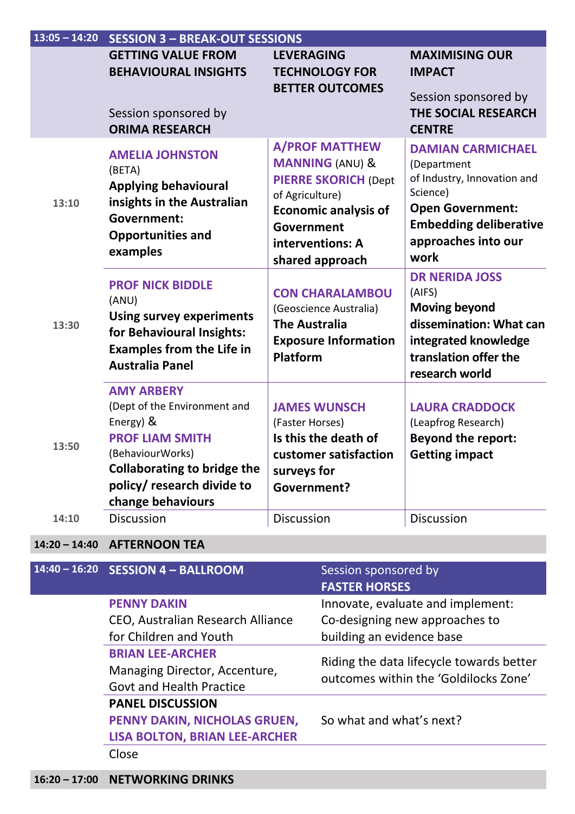| $13:05 - 14:20$ | <b>SESSION 3 - BREAK-OUT SESSIONS</b>                                                                                                                                                                 |                                                                                                                                                                                           |                                                                                                                                                                               |
|-----------------|-------------------------------------------------------------------------------------------------------------------------------------------------------------------------------------------------------|-------------------------------------------------------------------------------------------------------------------------------------------------------------------------------------------|-------------------------------------------------------------------------------------------------------------------------------------------------------------------------------|
|                 | <b>GETTING VALUE FROM</b><br><b>BEHAVIOURAL INSIGHTS</b>                                                                                                                                              | <b>LEVERAGING</b><br><b>TECHNOLOGY FOR</b><br><b>BETTER OUTCOMES</b>                                                                                                                      | <b>MAXIMISING OUR</b><br><b>IMPACT</b><br>Session sponsored by                                                                                                                |
|                 | Session sponsored by<br><b>ORIMA RESEARCH</b>                                                                                                                                                         |                                                                                                                                                                                           | <b>THE SOCIAL RESEARCH</b><br><b>CENTRE</b>                                                                                                                                   |
| 13:10           | <b>AMELIA JOHNSTON</b><br>(BETA)<br><b>Applying behavioural</b><br>insights in the Australian<br><b>Government:</b><br><b>Opportunities and</b><br>examples                                           | <b>A/PROF MATTHEW</b><br><b>MANNING (ANU) &amp;</b><br><b>PIERRE SKORICH (Dept</b><br>of Agriculture)<br><b>Economic analysis of</b><br>Government<br>interventions: A<br>shared approach | <b>DAMIAN CARMICHAEL</b><br>(Department<br>of Industry, Innovation and<br>Science)<br><b>Open Government:</b><br><b>Embedding deliberative</b><br>approaches into our<br>work |
| 13:30           | <b>PROF NICK BIDDLE</b><br>(ANU)<br><b>Using survey experiments</b><br>for Behavioural Insights:<br><b>Examples from the Life in</b><br><b>Australia Panel</b>                                        | <b>CON CHARALAMBOU</b><br>(Geoscience Australia)<br><b>The Australia</b><br><b>Exposure Information</b><br><b>Platform</b>                                                                | <b>DR NERIDA JOSS</b><br>(AIFS)<br><b>Moving beyond</b><br>dissemination: What can<br>integrated knowledge<br>translation offer the<br>research world                         |
| 13:50           | <b>AMY ARBERY</b><br>(Dept of the Environment and<br>Energy) &<br><b>PROF LIAM SMITH</b><br>(BehaviourWorks)<br><b>Collaborating to bridge the</b><br>policy/ research divide to<br>change behaviours | <b>JAMES WUNSCH</b><br>(Faster Horses)<br>Is this the death of<br>customer satisfaction<br>surveys for<br><b>Government?</b>                                                              | <b>LAURA CRADDOCK</b><br>(Leapfrog Research)<br><b>Beyond the report:</b><br><b>Getting impact</b>                                                                            |
| 14:10           | <b>Discussion</b>                                                                                                                                                                                     | Discussion                                                                                                                                                                                | Discussion                                                                                                                                                                    |

#### **14:20 – 14:40 AFTERNOON TEA**

| $14:40 - 16:20$ SESSION $4 - BALL$ ROOM | Session sponsored by<br><b>FASTER HORSES</b> |
|-----------------------------------------|----------------------------------------------|
| <b>PENNY DAKIN</b>                      | Innovate, evaluate and implement:            |
| CEO, Australian Research Alliance       | Co-designing new approaches to               |
| for Children and Youth                  | building an evidence base                    |
| <b>BRIAN LEE-ARCHER</b>                 | Riding the data lifecycle towards better     |
| Managing Director, Accenture,           | outcomes within the 'Goldilocks Zone'        |
| <b>Govt and Health Practice</b>         |                                              |
| <b>PANEL DISCUSSION</b>                 |                                              |
| PENNY DAKIN, NICHOLAS GRUEN,            | So what and what's next?                     |
| <b>LISA BOLTON, BRIAN LEE-ARCHER</b>    |                                              |
| Close                                   |                                              |